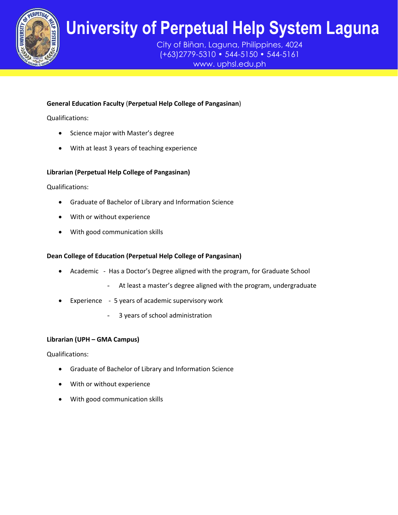

City of Biñan, Laguna, Philippines, 4024 (+63)2779-5310 • 544-5150 • 544-5161 www. uphsl.edu.ph

### **General Education Faculty** (**Perpetual Help College of Pangasinan**)

Qualifications:

- Science major with Master's degree
- With at least 3 years of teaching experience

### **Librarian (Perpetual Help College of Pangasinan)**

Qualifications:

- Graduate of Bachelor of Library and Information Science
- With or without experience
- With good communication skills

### **Dean College of Education (Perpetual Help College of Pangasinan)**

- Academic Has a Doctor's Degree aligned with the program, for Graduate School
	- At least a master's degree aligned with the program, undergraduate
- Experience 5 years of academic supervisory work
	- 3 years of school administration

#### **Librarian (UPH – GMA Campus)**

Qualifications:

- Graduate of Bachelor of Library and Information Science
- With or without experience
- With good communication skills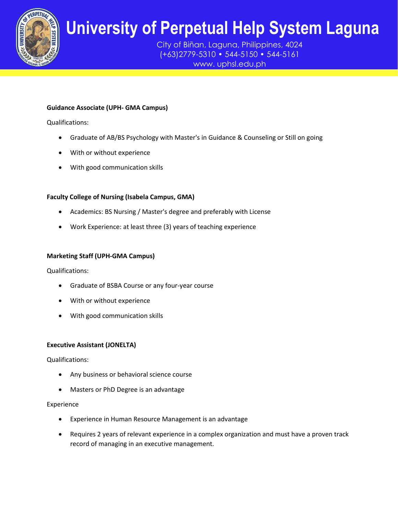

City of Biñan, Laguna, Philippines, 4024 (+63)2779-5310 • 544-5150 • 544-5161 www. uphsl.edu.ph

### **Guidance Associate (UPH- GMA Campus)**

Qualifications:

- **•** Graduate of AB/BS Psychology with Master's in Guidance & Counseling or Still on going
- With or without experience
- With good communication skills

### **Faculty College of Nursing (Isabela Campus, GMA)**

- Academics: BS Nursing / Master's degree and preferably with License
- Work Experience: at least three (3) years of teaching experience

#### **Marketing Staff (UPH-GMA Campus)**

Qualifications:

- Graduate of BSBA Course or any four-year course
- With or without experience
- With good communication skills

### **Executive Assistant (JONELTA)**

Qualifications:

- Any business or behavioral science course
- Masters or PhD Degree is an advantage

#### Experience

- Experience in Human Resource Management is an advantage
- Requires 2 years of relevant experience in a complex organization and must have a proven track record of managing in an executive management.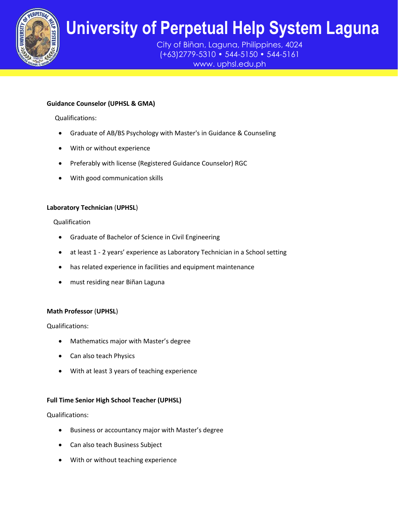

City of Biñan, Laguna, Philippines, 4024 (+63)2779-5310 • 544-5150 • 544-5161 www. uphsl.edu.ph

### **Guidance Counselor (UPHSL & GMA)**

Qualifications:

- **The Graduate of AB/BS Psychology with Master's in Guidance & Counseling<br>
A Unith or without experience**
- With or without experience
- **•** Preferably with license (Registered Guidance Counselor) RGC
- With good communication skills

### **Laboratory Technician** (**UPHSL**)

#### Qualification

- Graduate of Bachelor of Science in Civil Engineering
- at least 1 2 years' experience as Laboratory Technician in a School setting
- has related experience in facilities and equipment maintenance
- must residing near Biñan Laguna

### **Math Professor** (**UPHSL**)

Qualifications:

- Mathematics major with Master's degree
- Can also teach Physics
- With at least 3 years of teaching experience

#### **Full Time Senior High School Teacher (UPHSL)**

Qualifications:

- Business or accountancy major with Master's degree
- Can also teach Business Subject
- With or without teaching experience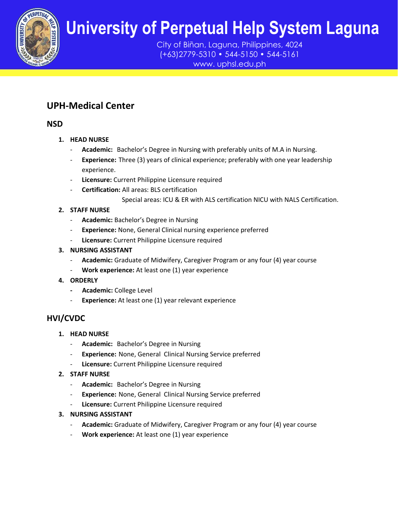

City of Biñan, Laguna, Philippines, 4024 (+63)2779-5310 • 544-5150 • 544-5161 www. uphsl.edu.ph

## **UPH-Medical Center**

**NSD**

- **1. HEAD NURSE**
- **UPH**<br>UPH<sub>PH</sub> - **Academic:** Bachelor's Degree in Nursing with preferably units of M.A in Nursing.
	- **Experience:** Three (3) years of clinical experience; preferably with one year leadership<br>experience. experience.
	- **Licensure:** Current Philippine Licensure required
	- **Certification:** All areas: BLS certification
		- Special areas: ICU & ER with ALS certification NICU with NALS Certification.

### **2. STAFF NURSE**

- **Academic:** Bachelor's Degree in Nursing
- **Experience:** None, General Clinical nursing experience preferred
- Licensure: Current Philippine Licensure required
- **3. NURSING ASSISTANT**
	- Academic: Graduate of Midwifery, Caregiver Program or any four (4) year course
	- **Work experience:** At least one (1) year experience
- **4. ORDERLY**
	- **Academic:** College Level
	- **Experience:** At least one (1) year relevant experience

## **HVI/CVDC**

- **1. HEAD NURSE**
	- **Academic:** Bachelor's Degree in Nursing
	- **Experience:** None, General Clinical Nursing Service preferred
	- Licensure: Current Philippine Licensure required
- **2. STAFF NURSE**
	- Academic: Bachelor's Degree in Nursing
	- **Experience:** None, General Clinical Nursing Service preferred
	- Licensure: Current Philippine Licensure required
- **3. NURSING ASSISTANT**
	- **Academic:** Graduate of Midwifery, Caregiver Program or any four (4) year course
	- **Work experience:** At least one (1) year experience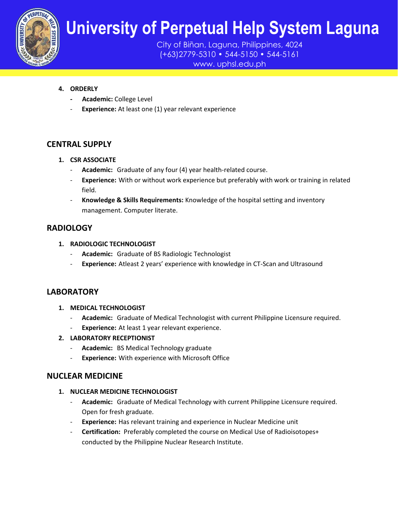

City of Biñan, Laguna, Philippines, 4024 (+63)2779-5310 • 544-5150 • 544-5161

www. uphsl.edu.ph

### **4. ORDERLY**

- **Academic:** College Level
- **Experience:** At least one (1) year relevant experience

### **CENTRAL SUPPLY**

- **1. CSR ASSOCIATE**
	- **CSR ASSOCIATE**<br>- **Academic:** Graduate of any four (4) year health-related course.
	- **Experience:** With or without work experience but preferably with work or training in related field.
	- **Knowledge & Skills Requirements:** Knowledge of the hospital setting and inventory management. Computer literate.

### **RADIOLOGY**

- **1. RADIOLOGIC TECHNOLOGIST**
	- Academic: Graduate of BS Radiologic Technologist
	- **Experience:** Atleast 2 years' experience with knowledge in CT-Scan and Ultrasound

### **LABORATORY**

- **1. MEDICAL TECHNOLOGIST**
	- **Academic:** Graduate of Medical Technologist with current Philippine Licensure required.
	- **Experience:** At least 1 year relevant experience.
- **2. LABORATORY RECEPTIONIST**
	- **Academic:** BS Medical Technology graduate
	- **Experience:** With experience with Microsoft Office

### **NUCLEAR MEDICINE**

### **1. NUCLEAR MEDICINE TECHNOLOGIST**

- **Academic:** Graduate of Medical Technology with current Philippine Licensure required. Open for fresh graduate.
- **Experience:** Has relevant training and experience in Nuclear Medicine unit
- **Certification:** Preferably completed the course on Medical Use of Radioisotopes+ conducted by the Philippine Nuclear Research Institute.